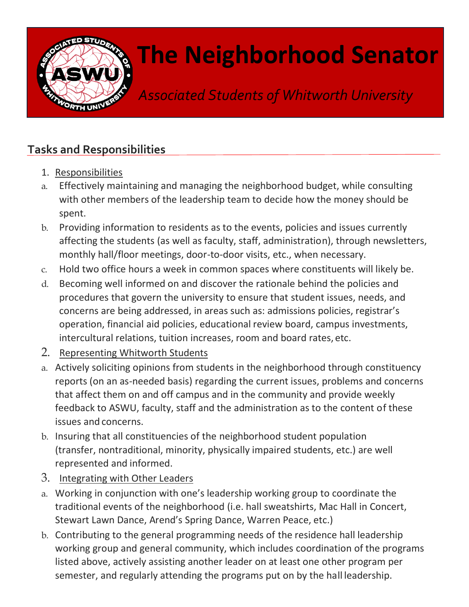

## **The Neighborhood Senator**

*Associated Students of Whitworth University*

## **Tasks and Responsibilities**

- 1. Responsibilities
- a. Effectively maintaining and managing the neighborhood budget, while consulting with other members of the leadership team to decide how the money should be spent.
- b. Providing information to residents as to the events, policies and issues currently affecting the students (as well as faculty, staff, administration), through newsletters, monthly hall/floor meetings, door-to-door visits, etc., when necessary.
- c. Hold two office hours a week in common spaces where constituents will likely be.
- d. Becoming well informed on and discover the rationale behind the policies and procedures that govern the university to ensure that student issues, needs, and concerns are being addressed, in areas such as: admissions policies, registrar's operation, financial aid policies, educational review board, campus investments, intercultural relations, tuition increases, room and board rates, etc.
- 2. Representing Whitworth Students
- a. Actively soliciting opinions from students in the neighborhood through constituency reports (on an as-needed basis) regarding the current issues, problems and concerns that affect them on and off campus and in the community and provide weekly feedback to ASWU, faculty, staff and the administration as to the content of these issues and concerns.
- b. Insuring that all constituencies of the neighborhood student population (transfer, nontraditional, minority, physically impaired students, etc.) are well represented and informed.
- 3. Integrating with Other Leaders
- a. Working in conjunction with one's leadership working group to coordinate the traditional events of the neighborhood (i.e. hall sweatshirts, Mac Hall in Concert, Stewart Lawn Dance, Arend's Spring Dance, Warren Peace, etc.)
- b. Contributing to the general programming needs of the residence hall leadership working group and general community, which includes coordination of the programs listed above, actively assisting another leader on at least one other program per semester, and regularly attending the programs put on by the hall leadership.